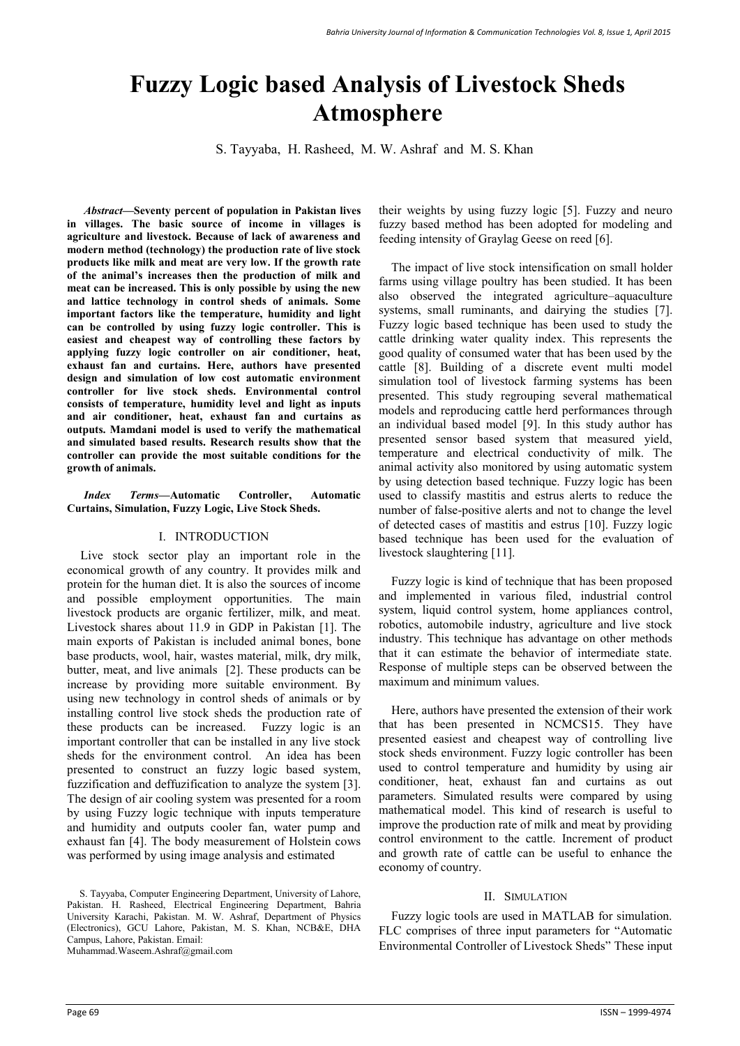# **Fuzzy Logic based Analysis of Livestock Sheds Atmosphere**

S. Tayyaba, H. Rasheed, M. W. Ashraf and M. S. Khan

*Abstract***—Seventy percent of population in Pakistan lives in villages. The basic source of income in villages is agriculture and livestock. Because of lack of awareness and modern method (technology) the production rate of live stock products like milk and meat are very low. If the growth rate of the animal's increases then the production of milk and meat can be increased. This is only possible by using the new and lattice technology in control sheds of animals. Some important factors like the temperature, humidity and light can be controlled by using fuzzy logic controller. This is easiest and cheapest way of controlling these factors by applying fuzzy logic controller on air conditioner, heat, exhaust fan and curtains. Here, authors have presented design and simulation of low cost automatic environment controller for live stock sheds. Environmental control consists of temperature, humidity level and light as inputs and air conditioner, heat, exhaust fan and curtains as outputs. Mamdani model is used to verify the mathematical and simulated based results. Research results show that the controller can provide the most suitable conditions for the growth of animals.** 

*Index Terms***—Automatic Controller, Automatic Curtains, Simulation, Fuzzy Logic, Live Stock Sheds.** 

## I. INTRODUCTION

Live stock sector play an important role in the economical growth of any country. It provides milk and protein for the human diet. It is also the sources of income and possible employment opportunities. The main livestock products are organic fertilizer, milk, and meat. Livestock shares about 11.9 in GDP in Pakistan [1]. The main exports of Pakistan is included animal bones, bone base products, wool, hair, wastes material, milk, dry milk, butter, meat, and live animals [2]. These products can be increase by providing more suitable environment. By using new technology in control sheds of animals or by installing control live stock sheds the production rate of these products can be increased. Fuzzy logic is an important controller that can be installed in any live stock sheds for the environment control. An idea has been presented to construct an fuzzy logic based system, fuzzification and deffuzification to analyze the system [3]. The design of air cooling system was presented for a room by using Fuzzy logic technique with inputs temperature and humidity and outputs cooler fan, water pump and exhaust fan [4]. The body measurement of Holstein cows was performed by using image analysis and estimated

their weights by using fuzzy logic [5]. Fuzzy and neuro fuzzy based method has been adopted for modeling and feeding intensity of Graylag Geese on reed [6].

The impact of live stock intensification on small holder farms using village poultry has been studied. It has been also observed the integrated agriculture–aquaculture systems, small ruminants, and dairving the studies [7]. Fuzzy logic based technique has been used to study the cattle drinking water quality index. This represents the good quality of consumed water that has been used by the cattle [8]. Building of a discrete event multi model simulation tool of livestock farming systems has been presented. This study regrouping several mathematical models and reproducing cattle herd performances through an individual based model [9]. In this study author has presented sensor based system that measured yield, temperature and electrical conductivity of milk. The animal activity also monitored by using automatic system by using detection based technique. Fuzzy logic has been used to classify mastitis and estrus alerts to reduce the number of false-positive alerts and not to change the level of detected cases of mastitis and estrus [10]. Fuzzy logic based technique has been used for the evaluation of livestock slaughtering [11].

Fuzzy logic is kind of technique that has been proposed and implemented in various filed, industrial control system, liquid control system, home appliances control, robotics, automobile industry, agriculture and live stock industry. This technique has advantage on other methods that it can estimate the behavior of intermediate state. Response of multiple steps can be observed between the maximum and minimum values.

Here, authors have presented the extension of their work that has been presented in NCMCS15. They have presented easiest and cheapest way of controlling live stock sheds environment. Fuzzy logic controller has been used to control temperature and humidity by using air conditioner, heat, exhaust fan and curtains as out parameters. Simulated results were compared by using mathematical model. This kind of research is useful to improve the production rate of milk and meat by providing control environment to the cattle. Increment of product and growth rate of cattle can be useful to enhance the economy of country.

#### II. SIMULATION

Fuzzy logic tools are used in MATLAB for simulation. FLC comprises of three input parameters for "Automatic Environmental Controller of Livestock Sheds" These input

S. Tayyaba, Computer Engineering Department, University of Lahore, Pakistan. H. Rasheed, Electrical Engineering Department, Bahria University Karachi, Pakistan. M. W. Ashraf, Department of Physics (Electronics), GCU Lahore, Pakistan, M. S. Khan, NCB&E, DHA Campus, Lahore, Pakistan. Email: Muhammad.Waseem.Ashraf@gmail.com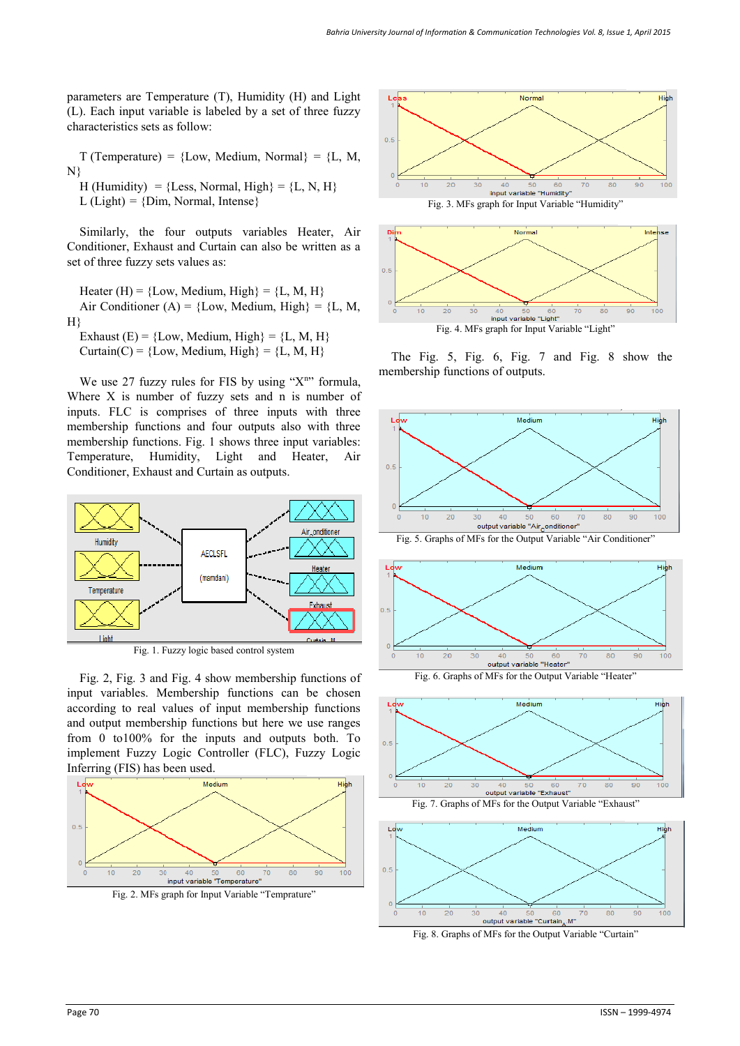parameters are Temperature (T), Humidity (H) and Light (L). Each input variable is labeled by a set of three fuzzy characteristics sets as follow:

 $T$  (Temperature) = {Low, Medium, Normal} = {L, M, N}

H (Humidity) = {Less, Normal, High} = {L, N, H}  $L$  (Light) = {Dim, Normal, Intense}

Similarly, the four outputs variables Heater, Air Conditioner, Exhaust and Curtain can also be written as a set of three fuzzy sets values as:

Heater (H) = {Low, Medium, High} = {L, M, H} Air Conditioner (A) = {Low, Medium, High} = {L, M, H}

Exhaust  $(E) = \{Low, Medium, High\} = \{L, M, H\}$ 

Curtain(C) =  ${Low, Medium, High} = {L, M, H}$ 

We use 27 fuzzy rules for FIS by using " $X<sup>n</sup>$ " formula, Where  $X$  is number of fuzzy sets and n is number of inputs. FLC is comprises of three inputs with three membership functions and four outputs also with three membership functions. Fig. 1 shows three input variables: Temperature, Humidity, Light and Heater, Air Conditioner, Exhaust and Curtain as outputs.



Fig. 1. Fuzzy logic based control system

Fig. 2, Fig. 3 and Fig. 4 show membership functions of input variables. Membership functions can be chosen according to real values of input membership functions and output membership functions but here we use ranges from 0 to100% for the inputs and outputs both. To implement Fuzzy Logic Controller (FLC), Fuzzy Logic Inferring (FIS) has been used.



Fig. 2. MFs graph for Input Variable "Temprature"





The Fig. 5, Fig. 6, Fig. 7 and Fig. 8 show the membership functions of outputs.



Fig. 5. Graphs of MFs for the Output Variable "Air Conditioner"



Fig. 6. Graphs of MFs for the Output Variable "Heater"





Fig. 8. Graphs of MFs for the Output Variable "Curtain"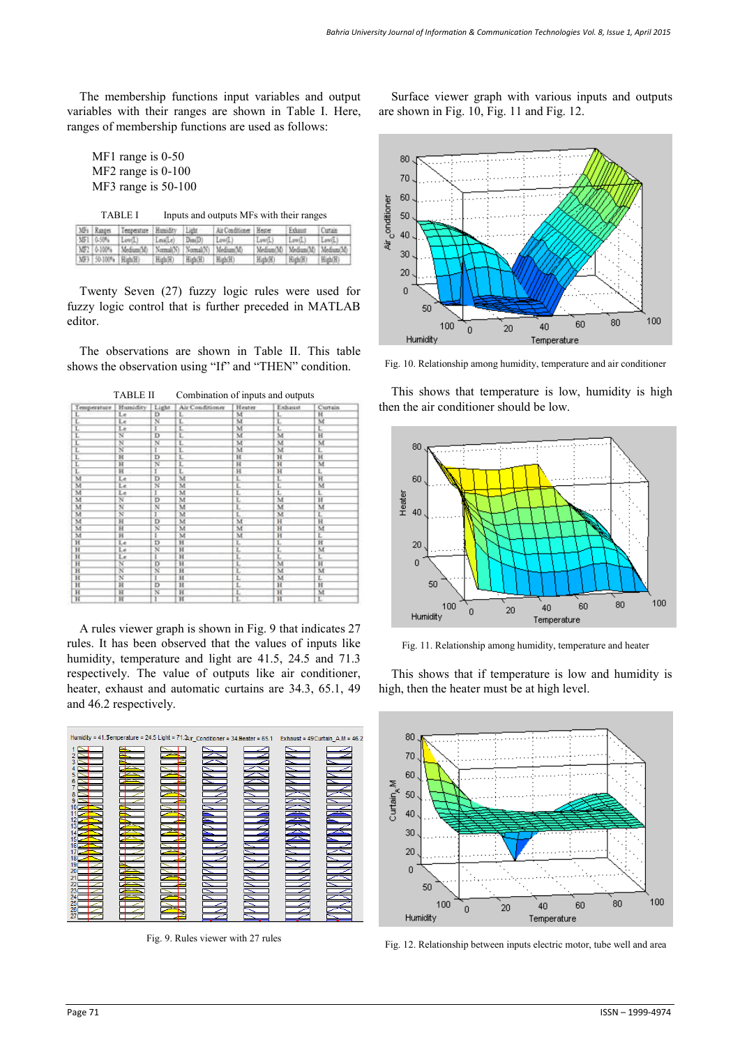The membership functions input variables and output variables with their ranges are shown in Table I. Here, ranges of membership functions are used as follows:

MF1 range is 0-50 MF2 range is 0-100 MF3 range is 50-100

| <b>TABLE I</b> | Inputs and outputs MFs with their ranges |
|----------------|------------------------------------------|
|----------------|------------------------------------------|

|                     | MFs Ranges Temperature Humidity Light              |                |         | AirConfidence House |                               | "Fehmer | Cortain |
|---------------------|----------------------------------------------------|----------------|---------|---------------------|-------------------------------|---------|---------|
|                     | MF1   0-50%   Low(L)                               | Lessle) Dan(D) |         | Low(1)              | Low(L)                        | Lew(L)  | Lew(L)  |
|                     | MF2 0-100% Medium/M: Normal/N: Normal/N: Medium/M: |                |         |                     | Medium(M) Medium(M) Medium/M) |         |         |
| MF3 50-100% High(H) |                                                    | High(H)        | High(H) | High(H)             | High(H)                       | High(H) | 图面图     |

Twenty Seven (27) fuzzy logic rules were used for fuzzy logic control that is further preceded in MATLAB editor.

The observations are shown in Table II. This table shows the observation using "If" and "THEN" condition.

| 17 D D D T              |                               |                               | Comomation of inputs and outputs |                         |                             |                         |  |
|-------------------------|-------------------------------|-------------------------------|----------------------------------|-------------------------|-----------------------------|-------------------------|--|
| Temperature Humidity    |                               |                               | Light Air Conditioner            | Heater                  | Lyhaust                     | Curtain                 |  |
|                         | Le                            | Ð                             |                                  | M                       |                             | 昌                       |  |
|                         | $\frac{L\epsilon}{L\epsilon}$ | $\frac{1}{2}$                 | $\frac{1}{L}$                    |                         | $\frac{L}{L}$               |                         |  |
| $\frac{L}{L}$           |                               |                               |                                  | $\overline{\mathbf{M}}$ |                             | Ë                       |  |
| τ                       | $\overline{\mathbf{N}}$       |                               | L                                | $\overline{M}$          | $\overline{M}$              | $\overline{H}$          |  |
| $\frac{L}{L}$           | N<br>N                        |                               | È                                | м                       | $\overline{\mathbf{M}}$     | Ñ<br>L                  |  |
|                         |                               |                               |                                  | Χï                      | x                           |                         |  |
|                         | $\overline{\mathbf{H}}$       | Б                             | ĩ                                | $_{\rm H}$              | H                           | $\overline{H}$          |  |
| L                       | $_{\rm H}$                    | Ň                             | ī                                | H                       | H                           | $\overline{\mathbf{M}}$ |  |
| L                       | н                             |                               | Ł                                |                         |                             | τ                       |  |
| $\overline{\mathbf{M}}$ | Le                            | $\frac{1}{D}$                 | $\overline{\mathbf{M}}$          | $\frac{H}{L}$           | $\frac{\text{H}}{\text{L}}$ | $_{\rm H}$              |  |
| M                       | Le                            | Ñ                             | M                                | Ë                       | τ                           | M                       |  |
| $\overline{M}$          | Le                            | T                             | M                                | L                       | τ                           | Г                       |  |
| M                       | $\overline{\mathcal{N}}$      | õ                             | M                                | ī                       | $\overline{M}$              | $\overline{\mathbf{H}}$ |  |
| M                       | Ñ                             | N                             | M                                | L                       | M                           | $\overline{M}$          |  |
| M                       | $\overline{\mathbb{N}}$       | T                             | $_{\rm M}$                       | τ                       | M                           | ĩ.                      |  |
| $\overline{M}$          | $\overline{\mathbf{H}}$       | $\overline{D}$                | M                                | $\overline{\mathbf{M}}$ | H                           | $\overline{H}$          |  |
| M                       | Ħ                             | N                             | M                                | M                       | H                           | M                       |  |
| $\overline{M}$          | $\overline{\mathbf{H}}$       | Г                             | м                                | M                       | $\overline{H}$              | Έ                       |  |
| Ħ                       | Le                            | Б                             | Ħ                                | ï.                      | $\frac{1}{L}$               | Ħ                       |  |
| H<br>H                  |                               | ř                             | W                                | 工工工                     |                             | $\frac{M}{L}$           |  |
|                         | Le<br>Le                      |                               | îî                               |                         |                             |                         |  |
| H                       | Ñ                             | ъ                             | W                                |                         |                             | Ĥ                       |  |
| $\overline{H}$          | Ñ                             | $\frac{\overline{N}}{\Gamma}$ | H                                | Ť                       | $\overline{\mathbf{M}}$     | $\overline{\mathbf{M}}$ |  |
| $\overline{H}$          | $\overline{\mathbf{x}}$       |                               | H                                | τ                       | M                           | ť                       |  |
| H                       | H                             | Ð                             | H                                |                         | $_{\rm H}$                  | н                       |  |
| H                       | $\overline{\mathbf{H}}$       | $\overline{\mathbf{x}}$       | ΉÏ                               | $\frac{1}{L}$           | $_{\rm H}$                  | Ŵ                       |  |
| $\overline{\mathbf{H}}$ | π                             | ĭ                             | π                                |                         | п                           | Ľ                       |  |

TABLE II Combination of inputs and outputs

A rules viewer graph is shown in Fig. 9 that indicates 27 rules. It has been observed that the values of inputs like humidity, temperature and light are 41.5, 24.5 and 71.3 respectively. The value of outputs like air conditioner, heater, exhaust and automatic curtains are 34.3, 65.1, 49 and 46.2 respectively.



Fig. 9. Rules viewer with 27 rules

Surface viewer graph with various inputs and outputs are shown in Fig. 10, Fig. 11 and Fig. 12.



Fig. 10. Relationship among humidity, temperature and air conditioner

This shows that temperature is low, humidity is high then the air conditioner should be low.



Fig. 11. Relationship among humidity, temperature and heater

This shows that if temperature is low and humidity is high, then the heater must be at high level.



Fig. 12. Relationship between inputs electric motor, tube well and area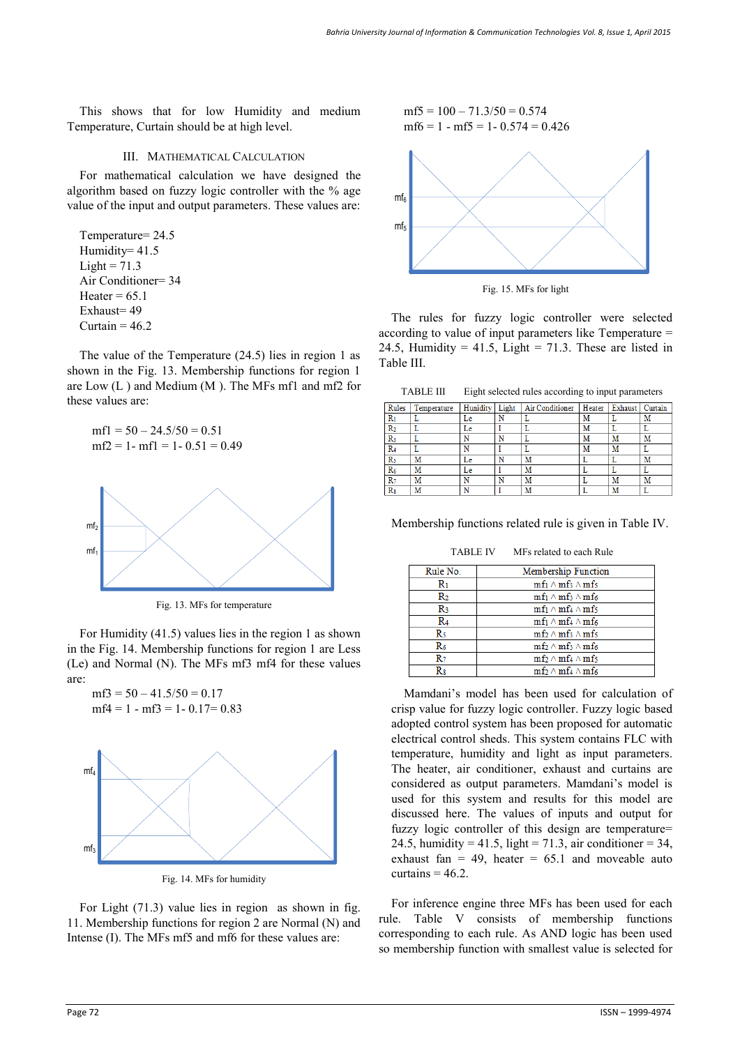This shows that for low Humidity and medium Temperature, Curtain should be at high level.

## III. MATHEMATICAL CALCULATION

For mathematical calculation we have designed the algorithm based on fuzzy logic controller with the % age value of the input and output parameters. These values are:

Temperature= 24.5 Humidity= 41.5  $Light = 71.3$ Air Conditioner= 34 Heater =  $65.1$ Exhaust= 49 Curtain  $= 46.2$ 

The value of the Temperature (24.5) lies in region 1 as shown in the Fig. 13. Membership functions for region 1 are Low (L ) and Medium (M ). The MFs mf1 and mf2 for these values are:

```
mfl = 50 - 24.5/50 = 0.51mf2 = 1 - mf1 = 1 - 0.51 = 0.49
```


Fig. 13. MFs for temperature

For Humidity (41.5) values lies in the region 1 as shown in the Fig. 14. Membership functions for region 1 are Less (Le) and Normal (N). The MFs mf3 mf4 for these values are:

 $mf3 = 50 - 41.5/50 = 0.17$  $mf4 = 1 - mf3 = 1 - 0.17 = 0.83$ 



Fig. 14. MFs for humidity

For Light (71.3) value lies in region as shown in fig. 11. Membership functions for region 2 are Normal (N) and Intense (I). The MFs mf5 and mf6 for these values are:

 $mf5 = 100 - 71.3/50 = 0.574$  $mf6 = 1 - mf5 = 1 - 0.574 = 0.426$ 



Fig. 15. MFs for light

The rules for fuzzy logic controller were selected according to value of input parameters like Temperature = 24.5, Humidity = 41.5, Light = 71.3. These are listed in Table III.

TABLE III Eight selected rules according to input parameters

| Rules          | Temperature | Hunidity Light |   | Air Conditioner | Heater | Exhaust   Curtain |   |
|----------------|-------------|----------------|---|-----------------|--------|-------------------|---|
| R <sub>1</sub> |             | Le             | N |                 | М      |                   | M |
| R <sub>2</sub> |             | Le             |   |                 | M      |                   |   |
| $R_3$          |             |                | N |                 | М      | M                 | M |
| R <sub>4</sub> |             |                |   |                 | M      | M                 |   |
| R <sub>5</sub> | M           | Le             | N | M               |        |                   | M |
| $R_6$          | M           | Le             |   | M               |        |                   |   |
| $R_7$          | M           |                | N | M               |        | M                 | M |
| $R_8$          | M           |                |   | M               |        | M                 |   |
|                |             |                |   |                 |        |                   |   |

Membership functions related rule is given in Table IV.

TABLE IV MFs related to each Rule

| Rule No.       | Membership Function                                       |
|----------------|-----------------------------------------------------------|
| R1             | $\text{mfi} \wedge \text{mfs} \wedge \text{mfs}$          |
| R2             | $\text{mf}_1 \wedge \text{mf}_3 \wedge \text{mf}_6$       |
| R3             | $\text{mf}_1 \wedge \text{mf}_4 \wedge \text{mf}_5$       |
| R4             | $\text{mf}_1 \wedge \text{mf}_4 \wedge \text{mf}_6$       |
| R5             | $mf_2 \wedge mf_3 \wedge mf_5$                            |
| R6             | $\mathrm{mf}_2 \wedge \mathrm{mf}_3 \wedge \mathrm{mf}_6$ |
| $\mathbf{R}_7$ | $\mathrm{mf}_2 \wedge \mathrm{mf}_4 \wedge \mathrm{mf}_5$ |
| Rs             | $\mathrm{mf}_2 \wedge \mathrm{mf}_4 \wedge \mathrm{mf}_6$ |

Mamdani's model has been used for calculation of crisp value for fuzzy logic controller. Fuzzy logic based adopted control system has been proposed for automatic electrical control sheds. This system contains FLC with temperature, humidity and light as input parameters. The heater, air conditioner, exhaust and curtains are considered as output parameters. Mamdani's model is used for this system and results for this model are discussed here. The values of inputs and output for fuzzy logic controller of this design are temperature= 24.5, humidity = 41.5, light = 71.3, air conditioner = 34, exhaust fan  $= 49$ , heater  $= 65.1$  and moveable auto curtains  $= 46.2$ .

For inference engine three MFs has been used for each rule. Table V consists of membership functions corresponding to each rule. As AND logic has been used so membership function with smallest value is selected for